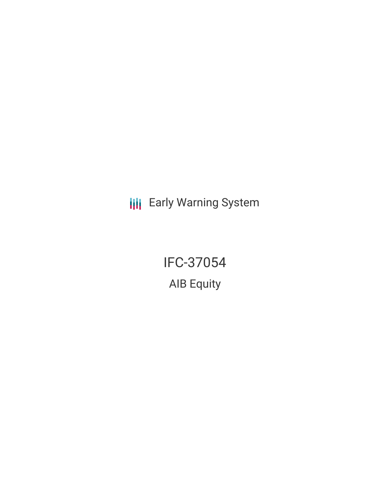**III** Early Warning System

IFC-37054 AIB Equity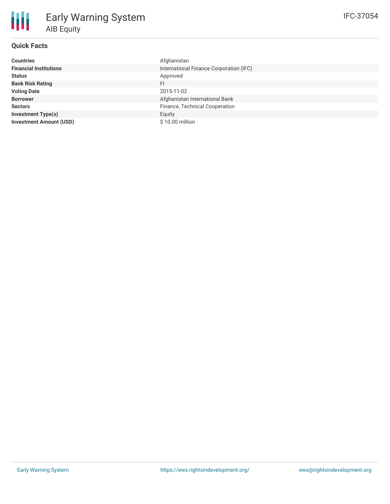| <b>Countries</b>               | Afghanistan                             |
|--------------------------------|-----------------------------------------|
| <b>Financial Institutions</b>  | International Finance Corporation (IFC) |
| <b>Status</b>                  | Approved                                |
| <b>Bank Risk Rating</b>        | FI                                      |
| <b>Voting Date</b>             | 2015-11-02                              |
| <b>Borrower</b>                | Afghanistan International Bank          |
| <b>Sectors</b>                 | Finance, Technical Cooperation          |
| <b>Investment Type(s)</b>      | Equity                                  |
| <b>Investment Amount (USD)</b> | $$10.00$ million                        |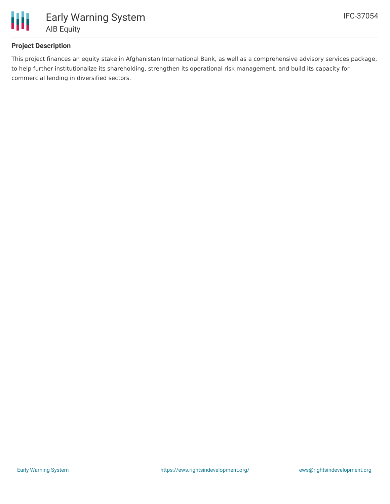

# **Project Description**

This project finances an equity stake in Afghanistan International Bank, as well as a comprehensive advisory services package, to help further institutionalize its shareholding, strengthen its operational risk management, and build its capacity for commercial lending in diversified sectors.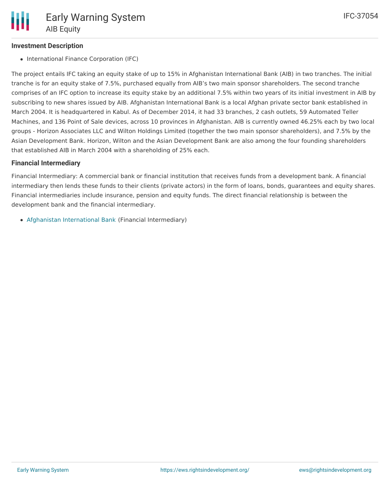### **Investment Description**

• International Finance Corporation (IFC)

The project entails IFC taking an equity stake of up to 15% in Afghanistan International Bank (AIB) in two tranches. The initial tranche is for an equity stake of 7.5%, purchased equally from AIB's two main sponsor shareholders. The second tranche comprises of an IFC option to increase its equity stake by an additional 7.5% within two years of its initial investment in AIB by subscribing to new shares issued by AIB. Afghanistan International Bank is a local Afghan private sector bank established in March 2004. It is headquartered in Kabul. As of December 2014, it had 33 branches, 2 cash outlets, 59 Automated Teller Machines, and 136 Point of Sale devices, across 10 provinces in Afghanistan. AIB is currently owned 46.25% each by two local groups - Horizon Associates LLC and Wilton Holdings Limited (together the two main sponsor shareholders), and 7.5% by the Asian Development Bank. Horizon, Wilton and the Asian Development Bank are also among the four founding shareholders that established AIB in March 2004 with a shareholding of 25% each.

### **Financial Intermediary**

Financial Intermediary: A commercial bank or financial institution that receives funds from a development bank. A financial intermediary then lends these funds to their clients (private actors) in the form of loans, bonds, guarantees and equity shares. Financial intermediaries include insurance, pension and equity funds. The direct financial relationship is between the development bank and the financial intermediary.

Afghanistan [International](file:///actor/1012/) Bank (Financial Intermediary)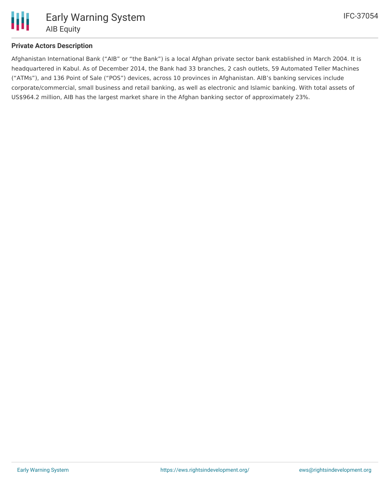

# **Private Actors Description**

Afghanistan International Bank ("AIB" or "the Bank") is a local Afghan private sector bank established in March 2004. It is headquartered in Kabul. As of December 2014, the Bank had 33 branches, 2 cash outlets, 59 Automated Teller Machines ("ATMs"), and 136 Point of Sale ("POS") devices, across 10 provinces in Afghanistan. AIB's banking services include corporate/commercial, small business and retail banking, as well as electronic and Islamic banking. With total assets of US\$964.2 million, AIB has the largest market share in the Afghan banking sector of approximately 23%.